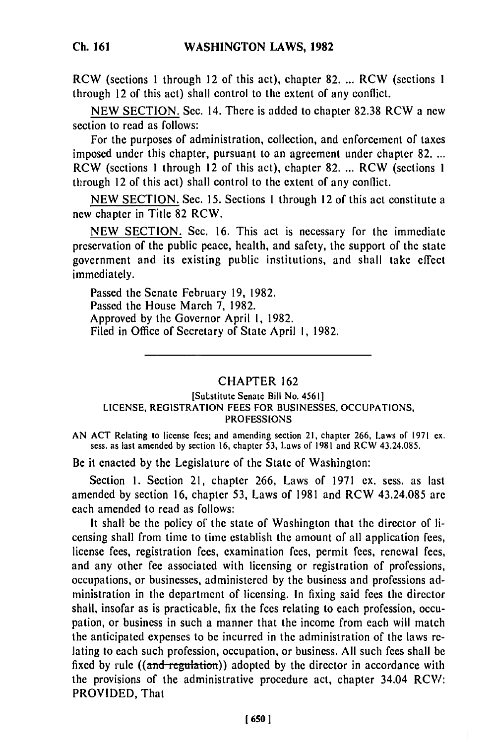**Ch. 161**

RCW (sections 1 through 12 of this act), chapter **82.** ... RCW (sections **I** through 12 of this act) shall control to the extent of any conflict.

NEW SECTION. Sec. 14. There is added to chapter 82.38 RCW a new section to read as follows:

For the purposes of administration, collection, and enforcement of taxes imposed under this chapter, pursuant to an agreement under chapter 82 **...** RCW (sections 1 through 12 of this act), chapter **82.** ... RCW (sections 1 through 12 of this act) shall control to the extent of any conflict.

NEW SECTION. Sec. 15. Sections 1 through 12 of this act constitute a new chapter in Title 82 RCW.

NEW SECTION. Sec. 16. This act is necessary for the immediate preservation of the public peace, health, and safety, the support of the state government and its existing public institutions, and shall take effect immediately.

Passed the Senate February 19, 1982. Passed the House March 7, 1982. Approved by the Governor April 1, 1982. Filed in Office of Secretary of State April I, 1982.

## CHAPTER **162**

## [Sutstitute Senate Bill No. 4561] LICENSE, REGISTRATION FEES FOR BUSINESSES, OCCUPATIONS, PROFESSIONS

AN ACT Relating to license fees; and amending section 21, chapter 266, Laws of 1971 ex. sess. as last amended by section 16, chapter 53, Laws of 1981 and RCW 43.24.085.

Be it enacted by the Legislature of the State of Washington:

Section 1. Section 21, chapter 266, Laws of 1971 ex. sess. as last amended by section 16, chapter 53, Laws of 1981 and RCW 43.24.085 are each amended to read as follows:

It shall be the policy of the state of Washington that the director of licensing shall from time to time establish the amount of all application fees, license fees, registration fees, examination fees, permit fees, renewal fees, and any other fee associated with licensing or registration of professions, occupations, or businesses, administered by the business and professions administration in the department of licensing. In fixing said fees the director shall, insofar as is practicable, fix the fees relating to each profession, occupation, or business in such a manner that the income from each will match the anticipated expenses to be incurred in the administration of the laws relating to each such profession, occupation, or business. All such fees shall be fixed by rule  $((and **regularization**))$  adopted by the director in accordance with the provisions of the administrative procedure act, chapter 34.04 RCW: PROVIDED, That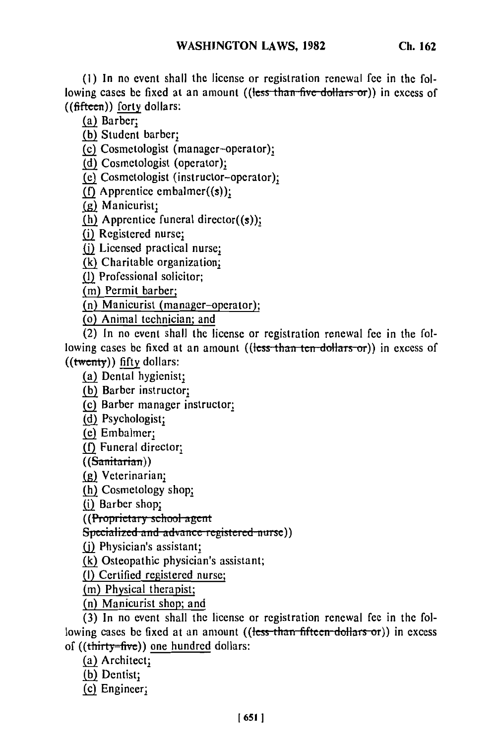**(1)** In no event shall the license or registration renewal fee in the following cases be fixed at an amount ((less than five dollars or)) in excess of ((fifteen)) forty dollars:

 $(a)$  Barber;

**(b)** Student barber;

(c) Cosmetologist (manager-operator);

(d) Cosmetologist (operator);

(e) Cosmetologist (instructor-operator);

**(f)** Apprentice embalmer((s)); (I) Apprentice

(g) Manicurist;<br>(h) Apprentice funeral director((s));

(i) Registered nurse;

(j) Licensed practical nurse:

**(k)** Charitable organization;

**(1)** Professional solicitor;

(m) Permit barber;

(n) Manicurist (manager-operator);

(o) Animal technician; and

(2) In no event shall the license or registration renewal fee in the following cases be fixed at an amount ((less than ten dollars or)) in excess of ((twenty)) fifty dollars:

(a) Dental hygienist;

(b) Barber instructor;

(c) Barber manager instructor;

(d) Psychologist.

**(e)** Embalmer;

**(f)** Funeral director;

 $((S<sub>antiarian</sub>))$ 

**(g** Veterinarian;

(h) Cosmetology shop;

(i) Barber shop;

((Proprietary school agent<br>Specialized and advance registered nurse))

 $(i)$  Physician's assistant;

**(k)** Osteopathic physician's assistant;

**(I)** Certified registered nurse;

**(m)** Physical therapist;

(n) Manicurist shop; and

( $\overline{3}$ ) In no event shall the license or registration renewal fee in the fol-(3) In no event shall the license or registration renewal lee in the lo-<br>lowing cases be fixed at an amount ((lee than fifteen dellars on)) in excess lowing cases be fixed at an amount ((less than fifteen dollars or)) in excess of ((thirty-five)) one hundred dollars:

(a) Architect.

**(b)** Dentist;

(c) Engineer.